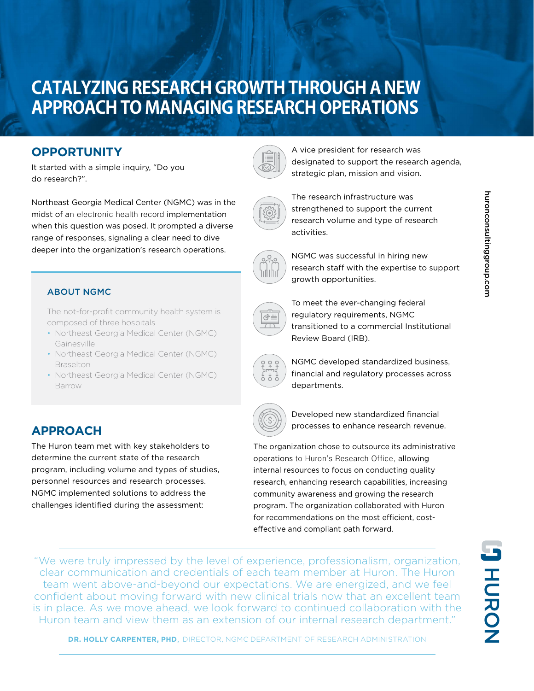# **CATALYZING RESEARCH GROWTH THROUGH A NEW APPROACH TO MANAGING RESEARCH OPERATIONS**

### **OPPORTUNITY**

It started with a simple inquiry, "Do you do research?".

Northeast Georgia Medical Center (NGMC) was in the midst of an electronic health record implementation when this question was posed. It prompted a diverse range of responses, signaling a clear need to dive deeper into the organization's research operations.



The not-for-profit community health system is composed of three hospitals

- Northeast Georgia Medical Center (NGMC) Gainesville
- Northeast Georgia Medical Center (NGMC) **Braselton**
- Northeast Georgia Medical Center (NGMC) Barrow

## **APPROACH**

The Huron team met with key stakeholders to determine the current state of the research program, including volume and types of studies, personnel resources and research processes. NGMC implemented solutions to address the challenges identified during the assessment:



A vice president for research was designated to support the research agenda, strategic plan, mission and vision.



The research infrastructure was strengthened to support the current research volume and type of research activities.



NGMC was successful in hiring new research staff with the expertise to support growth opportunities.



To meet the ever-changing federal regulatory requirements, NGMC transitioned to a commercial Institutional Review Board (IRB).



NGMC developed standardized business, financial and regulatory processes across departments.



Developed new standardized financial processes to enhance research revenue.

The organization chose to outsource its administrative operations to Huron's Research Office, allowing internal resources to focus on conducting quality research, enhancing research capabilities, increasing community awareness and growing the research program. The organization collaborated with Huron for recommendations on the most efficient, costeffective and compliant path forward.

"We were truly impressed by the level of experience, professionalism, organization, clear communication and credentials of each team member at Huron. The Huron team went above-and-beyond our expectations. We are energized, and we feel confident about moving forward with new clinical trials now that an excellent team is in place. As we move ahead, we look forward to continued collaboration with the Huron team and view them as an extension of our internal research department."

huronconsultinggroup.com

huronconsultinggroup.com